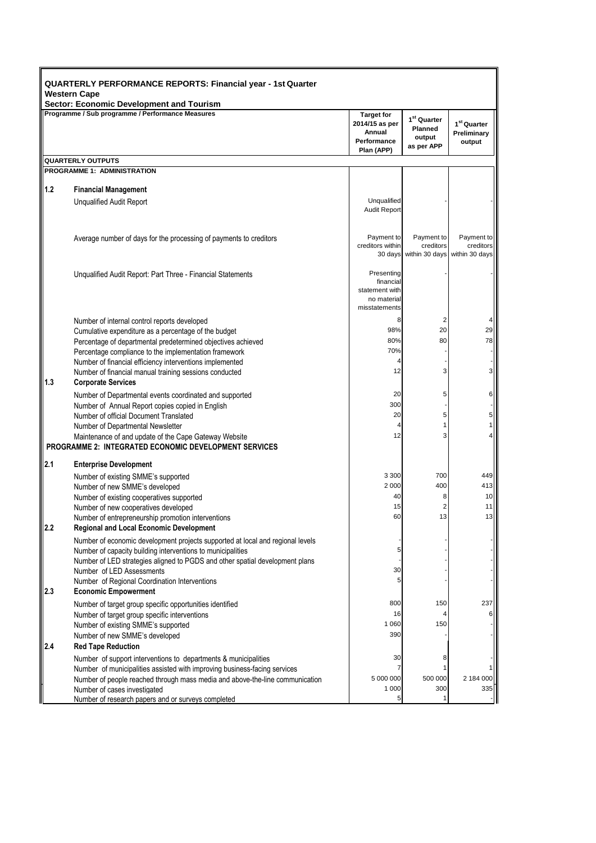| <b>QUARTERLY PERFORMANCE REPORTS: Financial year - 1st Quarter</b><br><b>Western Cape</b> |                                                                                                                                               |                                                                            |                                                                   |                                           |
|-------------------------------------------------------------------------------------------|-----------------------------------------------------------------------------------------------------------------------------------------------|----------------------------------------------------------------------------|-------------------------------------------------------------------|-------------------------------------------|
|                                                                                           | Sector: Economic Development and Tourism<br>Programme / Sub programme / Performance Measures                                                  | <b>Target for</b><br>2014/15 as per<br>Annual<br>Performance<br>Plan (APP) | 1 <sup>st</sup> Quarter<br><b>Planned</b><br>output<br>as per APP | $1^{st}$ Quarter<br>Preliminary<br>output |
|                                                                                           | <b>QUARTERLY OUTPUTS</b>                                                                                                                      |                                                                            |                                                                   |                                           |
|                                                                                           | <b>PROGRAMME 1: ADMINISTRATION</b>                                                                                                            |                                                                            |                                                                   |                                           |
| 1.2                                                                                       | <b>Financial Management</b>                                                                                                                   |                                                                            |                                                                   |                                           |
|                                                                                           | <b>Unqualified Audit Report</b>                                                                                                               | Unqualified<br><b>Audit Report</b>                                         |                                                                   |                                           |
|                                                                                           | Average number of days for the processing of payments to creditors                                                                            | Payment to<br>creditors within<br>30 days                                  | Payment to<br>creditors<br>within 30 days                         | Payment to<br>creditors<br>within 30 days |
|                                                                                           | Unqualified Audit Report: Part Three - Financial Statements                                                                                   | Presenting<br>financial<br>statement with<br>no material<br>misstatements  |                                                                   |                                           |
|                                                                                           | Number of internal control reports developed                                                                                                  | 8                                                                          | $\overline{2}$                                                    |                                           |
|                                                                                           | Cumulative expenditure as a percentage of the budget                                                                                          | 98%                                                                        | 20                                                                | 29                                        |
|                                                                                           | Percentage of departmental predetermined objectives achieved                                                                                  | 80%<br>70%                                                                 | 80                                                                | 78                                        |
|                                                                                           | Percentage compliance to the implementation framework<br>Number of financial efficiency interventions implemented                             |                                                                            |                                                                   |                                           |
| 1.3                                                                                       | Number of financial manual training sessions conducted<br><b>Corporate Services</b>                                                           | 12                                                                         | 3                                                                 | 3                                         |
|                                                                                           | Number of Departmental events coordinated and supported                                                                                       | 20                                                                         | 5                                                                 | 6                                         |
|                                                                                           | Number of Annual Report copies copied in English                                                                                              | 300                                                                        |                                                                   |                                           |
|                                                                                           | Number of official Document Translated                                                                                                        | 20                                                                         | 5                                                                 | 5                                         |
|                                                                                           | Number of Departmental Newsletter                                                                                                             | 4<br>12                                                                    | 1<br>3                                                            |                                           |
|                                                                                           | Maintenance of and update of the Cape Gateway Website<br><b>PROGRAMME 2: INTEGRATED ECONOMIC DEVELOPMENT SERVICES</b>                         |                                                                            |                                                                   |                                           |
| 2.1                                                                                       | <b>Enterprise Development</b>                                                                                                                 |                                                                            |                                                                   |                                           |
|                                                                                           | Number of existing SMME's supported                                                                                                           | 3 3 0 0                                                                    | 700                                                               | 449                                       |
|                                                                                           | Number of new SMME's developed                                                                                                                | 2 0 0 0                                                                    | 400                                                               | 413                                       |
|                                                                                           | Number of existing cooperatives supported                                                                                                     | 40                                                                         | 8                                                                 | 10                                        |
|                                                                                           | Number of new cooperatives developed                                                                                                          | 15                                                                         | $\overline{2}$                                                    | 11                                        |
| 2.2                                                                                       | Number of entrepreneurship promotion interventions                                                                                            | 60                                                                         | 13                                                                | 13                                        |
|                                                                                           | <b>Regional and Local Economic Development</b>                                                                                                |                                                                            |                                                                   |                                           |
|                                                                                           | Number of economic development projects supported at local and regional levels<br>Number of capacity building interventions to municipalities | 5                                                                          |                                                                   |                                           |
|                                                                                           | Number of LED strategies aligned to PGDS and other spatial development plans                                                                  |                                                                            |                                                                   |                                           |
|                                                                                           | Number of LED Assessments                                                                                                                     | 30                                                                         |                                                                   |                                           |
|                                                                                           | Number of Regional Coordination Interventions                                                                                                 | 5                                                                          |                                                                   |                                           |
| 2.3                                                                                       | <b>Economic Empowerment</b>                                                                                                                   |                                                                            |                                                                   |                                           |
|                                                                                           | Number of target group specific opportunities identified                                                                                      | 800                                                                        | 150                                                               | 237                                       |
|                                                                                           | Number of target group specific interventions<br>Number of existing SMME's supported                                                          | 16<br>1 0 6 0                                                              | $\overline{4}$<br>150                                             |                                           |
|                                                                                           | Number of new SMME's developed                                                                                                                | 390                                                                        |                                                                   |                                           |
| 2.4                                                                                       | <b>Red Tape Reduction</b>                                                                                                                     |                                                                            |                                                                   |                                           |
|                                                                                           | Number of support interventions to departments & municipalities                                                                               | 30                                                                         | 8                                                                 |                                           |
|                                                                                           | Number of municipalities assisted with improving business-facing services                                                                     | 7                                                                          |                                                                   |                                           |
|                                                                                           | Number of people reached through mass media and above-the-line communication                                                                  | 5 000 000                                                                  | 500 000                                                           | 2 184 000                                 |
|                                                                                           | Number of cases investigated<br>Number of research papers and or surveys completed                                                            | 1 0 0 0<br>5                                                               | 300<br>1                                                          | 335                                       |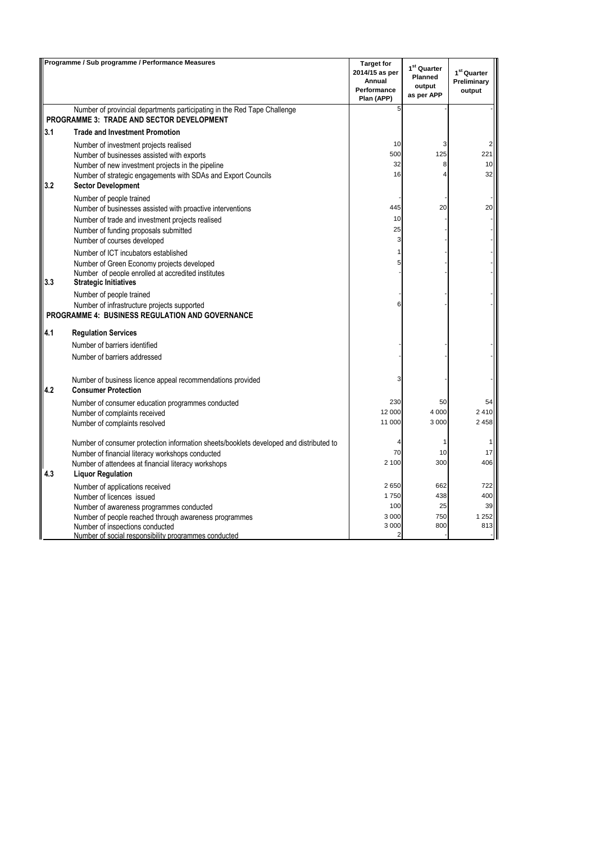|     | Programme / Sub programme / Performance Measures                                                                             | <b>Target for</b><br>2014/15 as per<br>Annual<br>Performance<br>Plan (APP) | 1 <sup>st</sup> Quarter<br><b>Planned</b><br>output<br>as per APP | 1 <sup>st</sup> Quarter<br>Preliminary<br>output |
|-----|------------------------------------------------------------------------------------------------------------------------------|----------------------------------------------------------------------------|-------------------------------------------------------------------|--------------------------------------------------|
|     | Number of provincial departments participating in the Red Tape Challenge<br><b>PROGRAMME 3: TRADE AND SECTOR DEVELOPMENT</b> | 5                                                                          |                                                                   |                                                  |
| 3.1 | <b>Trade and Investment Promotion</b>                                                                                        |                                                                            |                                                                   |                                                  |
|     | Number of investment projects realised                                                                                       | 10                                                                         | 3                                                                 |                                                  |
|     | Number of businesses assisted with exports                                                                                   | 500                                                                        | 125                                                               | 221                                              |
|     | Number of new investment projects in the pipeline                                                                            | 32                                                                         | 8                                                                 | 10                                               |
| 3.2 | Number of strategic engagements with SDAs and Export Councils<br><b>Sector Development</b>                                   | 16                                                                         | $\overline{4}$                                                    | 32                                               |
|     | Number of people trained                                                                                                     |                                                                            |                                                                   |                                                  |
|     | Number of businesses assisted with proactive interventions                                                                   | 445                                                                        | 20                                                                | 20                                               |
|     | Number of trade and investment projects realised                                                                             | 10                                                                         |                                                                   |                                                  |
|     | Number of funding proposals submitted                                                                                        | 25                                                                         |                                                                   |                                                  |
|     | Number of courses developed                                                                                                  | 3                                                                          |                                                                   |                                                  |
|     | Number of ICT incubators established                                                                                         | 1                                                                          |                                                                   |                                                  |
|     | Number of Green Economy projects developed                                                                                   | 5                                                                          |                                                                   |                                                  |
| 3.3 | Number of people enrolled at accredited institutes                                                                           |                                                                            |                                                                   |                                                  |
|     | <b>Strategic Initiatives</b>                                                                                                 |                                                                            |                                                                   |                                                  |
|     | Number of people trained                                                                                                     | 6                                                                          |                                                                   |                                                  |
|     | Number of infrastructure projects supported<br><b>PROGRAMME 4: BUSINESS REGULATION AND GOVERNANCE</b>                        |                                                                            |                                                                   |                                                  |
| 4.1 | <b>Regulation Services</b>                                                                                                   |                                                                            |                                                                   |                                                  |
|     | Number of barriers identified                                                                                                |                                                                            |                                                                   |                                                  |
|     | Number of barriers addressed                                                                                                 |                                                                            |                                                                   |                                                  |
| 4.2 | Number of business licence appeal recommendations provided<br><b>Consumer Protection</b>                                     | 3                                                                          |                                                                   |                                                  |
|     | Number of consumer education programmes conducted                                                                            | 230                                                                        | 50                                                                | 54                                               |
|     | Number of complaints received                                                                                                | 12 000                                                                     | 4 0 0 0                                                           | 2410                                             |
|     | Number of complaints resolved                                                                                                | 11 000                                                                     | 3 0 0 0                                                           | 2458                                             |
|     | Number of consumer protection information sheets/booklets developed and distributed to                                       | 4                                                                          | 1                                                                 |                                                  |
|     | Number of financial literacy workshops conducted                                                                             | 70                                                                         | 10                                                                | 17                                               |
|     | Number of attendees at financial literacy workshops                                                                          | 2 100                                                                      | 300                                                               | 406                                              |
| 4.3 | <b>Liquor Regulation</b>                                                                                                     |                                                                            |                                                                   |                                                  |
|     | Number of applications received                                                                                              | 2650                                                                       | 662                                                               | 722                                              |
|     | Number of licences issued                                                                                                    | 1750                                                                       | 438                                                               | 400                                              |
|     | Number of awareness programmes conducted                                                                                     | 100                                                                        | 25                                                                | 39                                               |
|     | Number of people reached through awareness programmes                                                                        | 3 0 0 0                                                                    | 750                                                               | 1 2 5 2                                          |
|     | Number of inspections conducted                                                                                              | 3 0 0 0<br>$\overline{2}$                                                  | 800                                                               | 813                                              |
|     | Number of social responsibility programmes conducted                                                                         |                                                                            |                                                                   |                                                  |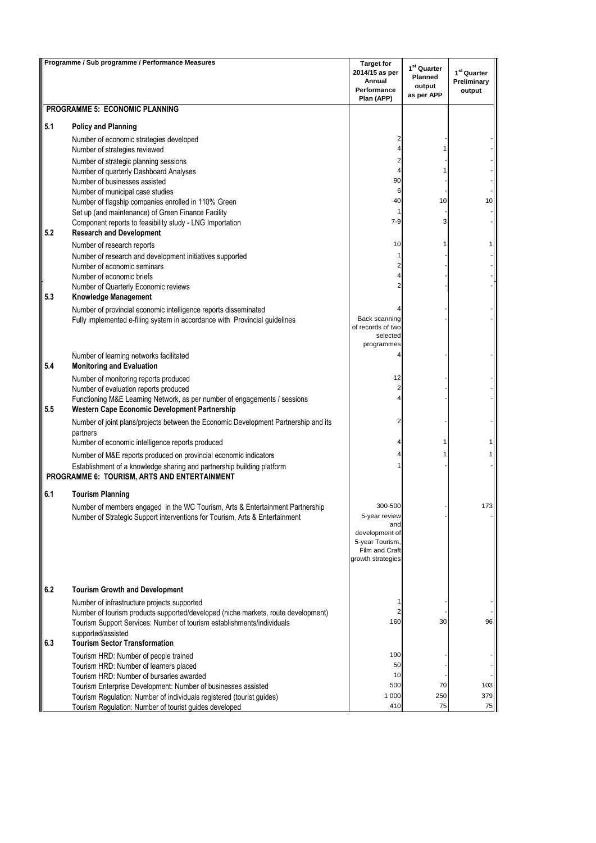|     | Programme / Sub programme / Performance Measures                                                                                | <b>Target for</b>                  | $1st$ Quarter        |                                        |
|-----|---------------------------------------------------------------------------------------------------------------------------------|------------------------------------|----------------------|----------------------------------------|
|     |                                                                                                                                 | 2014/15 as per<br>Annual           | <b>Planned</b>       | 1 <sup>st</sup> Quarter<br>Preliminary |
|     |                                                                                                                                 | Performance                        | output<br>as per APP | output                                 |
|     | PROGRAMME 5: ECONOMIC PLANNING                                                                                                  | Plan (APP)                         |                      |                                        |
| 5.1 | <b>Policy and Planning</b>                                                                                                      |                                    |                      |                                        |
|     | Number of economic strategies developed                                                                                         | 2                                  |                      |                                        |
|     | Number of strategies reviewed                                                                                                   | Δ                                  |                      |                                        |
|     | Number of strategic planning sessions                                                                                           | 2                                  |                      |                                        |
|     | Number of quarterly Dashboard Analyses                                                                                          | 4                                  |                      |                                        |
|     | Number of businesses assisted                                                                                                   | 90                                 |                      |                                        |
|     | Number of municipal case studies<br>Number of flagship companies enrolled in 110% Green                                         | 6<br>40                            | 10                   | 10                                     |
|     | Set up (and maintenance) of Green Finance Facility                                                                              | 1                                  |                      |                                        |
|     | Component reports to feasibility study - LNG Importation                                                                        | $7-9$                              | 3                    |                                        |
| 5.2 | <b>Research and Development</b>                                                                                                 |                                    |                      |                                        |
|     | Number of research reports                                                                                                      | 10                                 |                      |                                        |
|     | Number of research and development initiatives supported<br>Number of economic seminars                                         | 1<br>2                             |                      |                                        |
|     | Number of economic briefs                                                                                                       | 4                                  |                      |                                        |
|     | Number of Quarterly Economic reviews                                                                                            | 2                                  |                      |                                        |
| 5.3 | Knowledge Management                                                                                                            |                                    |                      |                                        |
|     | Number of provincial economic intelligence reports disseminated                                                                 |                                    |                      |                                        |
|     | Fully implemented e-filing system in accordance with Provincial guidelines                                                      | Back scanning<br>of records of two |                      |                                        |
|     |                                                                                                                                 | selected                           |                      |                                        |
|     |                                                                                                                                 | programmes                         |                      |                                        |
| 5.4 | Number of learning networks facilitated<br><b>Monitoring and Evaluation</b>                                                     |                                    |                      |                                        |
|     | Number of monitoring reports produced                                                                                           | 12                                 |                      |                                        |
|     | Number of evaluation reports produced                                                                                           | $\overline{c}$                     |                      |                                        |
| 5.5 | Functioning M&E Learning Network, as per number of engagements / sessions<br>Western Cape Economic Development Partnership      | 4                                  |                      |                                        |
|     | Number of joint plans/projects between the Economic Development Partnership and its<br>partners                                 | 2                                  |                      |                                        |
|     | Number of economic intelligence reports produced                                                                                | 4                                  | 1                    |                                        |
|     | Number of M&E reports produced on provincial economic indicators                                                                |                                    |                      |                                        |
|     | Establishment of a knowledge sharing and partnership building platform<br>PROGRAMME 6: TOURISM, ARTS AND ENTERTAINMENT          |                                    |                      |                                        |
| 6.1 | <b>Tourism Planning</b>                                                                                                         |                                    |                      |                                        |
|     | Number of members engaged in the WC Tourism, Arts & Entertainment Partnership                                                   | 300-500                            |                      |                                        |
|     | Number of Strategic Support interventions for Tourism, Arts & Entertainment                                                     | 5-year review<br>and               |                      |                                        |
|     |                                                                                                                                 | development of                     |                      |                                        |
|     |                                                                                                                                 | 5-year Tourism,<br>Film and Craft  |                      |                                        |
|     |                                                                                                                                 | growth strategies                  |                      |                                        |
| 6.2 | <b>Tourism Growth and Development</b>                                                                                           |                                    |                      |                                        |
|     | Number of infrastructure projects supported                                                                                     | 1                                  |                      |                                        |
|     | Number of tourism products supported/developed (niche markets, route development)                                               | $\overline{2}$                     |                      |                                        |
|     | Tourism Support Services: Number of tourism establishments/individuals                                                          | 160                                | 30                   | 96                                     |
| 6.3 | supported/assisted<br><b>Tourism Sector Transformation</b>                                                                      |                                    |                      |                                        |
|     | Tourism HRD: Number of people trained                                                                                           | 190                                |                      |                                        |
|     | Tourism HRD: Number of learners placed                                                                                          | 50                                 |                      |                                        |
|     | Tourism HRD: Number of bursaries awarded                                                                                        | 10                                 |                      |                                        |
|     | Tourism Enterprise Development: Number of businesses assisted                                                                   | 500<br>1 0 0 0                     | 70<br>250            | 103<br>379                             |
|     | Tourism Regulation: Number of individuals registered (tourist guides)<br>Tourism Regulation: Number of tourist guides developed | 410                                | 75                   | 75                                     |